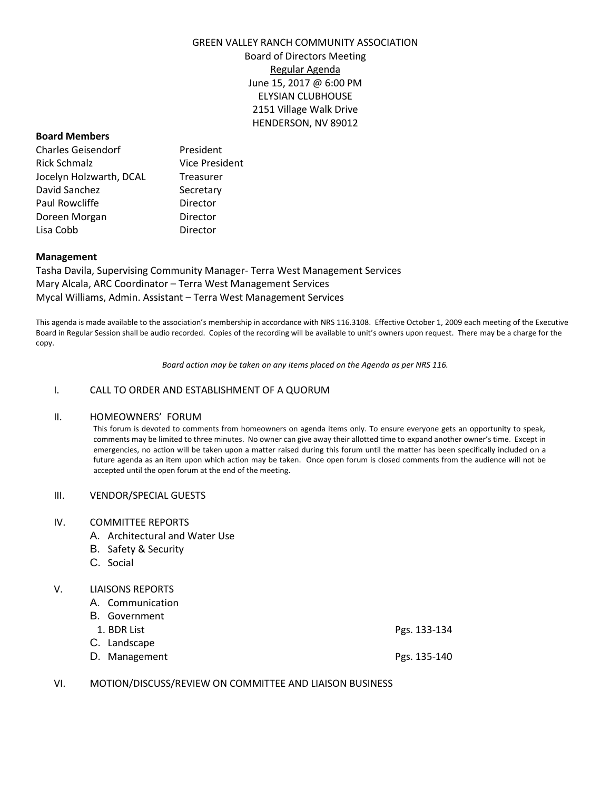#### GREEN VALLEY RANCH COMMUNITY ASSOCIATION

Board of Directors Meeting Regular Agenda June 15, 2017 @ 6:00 PM ELYSIAN CLUBHOUSE 2151 Village Walk Drive HENDERSON, NV 89012

#### **Board Members**

| <b>Charles Geisendorf</b> | President             |  |
|---------------------------|-----------------------|--|
| <b>Rick Schmalz</b>       | <b>Vice President</b> |  |
| Jocelyn Holzwarth, DCAL   | Treasurer             |  |
| David Sanchez             | Secretary             |  |
| Paul Rowcliffe            | Director              |  |
| Doreen Morgan             | Director              |  |
| Lisa Cobb                 | Director              |  |

### **Management**

Tasha Davila, Supervising Community Manager- Terra West Management Services Mary Alcala, ARC Coordinator – Terra West Management Services Mycal Williams, Admin. Assistant – Terra West Management Services

This agenda is made available to the association's membership in accordance with NRS 116.3108. Effective October 1, 2009 each meeting of the Executive Board in Regular Session shall be audio recorded. Copies of the recording will be available to unit's owners upon request. There may be a charge for the copy.

*Board action may be taken on any items placed on the Agenda as per NRS 116.*

### I. CALL TO ORDER AND ESTABLISHMENT OF A QUORUM

### II. HOMEOWNERS' FORUM

This forum is devoted to comments from homeowners on agenda items only. To ensure everyone gets an opportunity to speak, comments may be limited to three minutes. No owner can give away their allotted time to expand another owner's time. Except in emergencies, no action will be taken upon a matter raised during this forum until the matter has been specifically included on a future agenda as an item upon which action may be taken. Once open forum is closed comments from the audience will not be accepted until the open forum at the end of the meeting.

#### III. VENDOR/SPECIAL GUESTS

#### IV. COMMITTEE REPORTS

- A. Architectural and Water Use
- B. Safety & Security
- C. Social

# V. LIAISONS REPORTS

| A. Communication |              |
|------------------|--------------|
| B. Government    |              |
| 1. BDR List      | Pgs. 133-134 |
| C. Landscape     |              |
| D. Management    | Pgs. 135-140 |

VI. MOTION/DISCUSS/REVIEW ON COMMITTEE AND LIAISON BUSINESS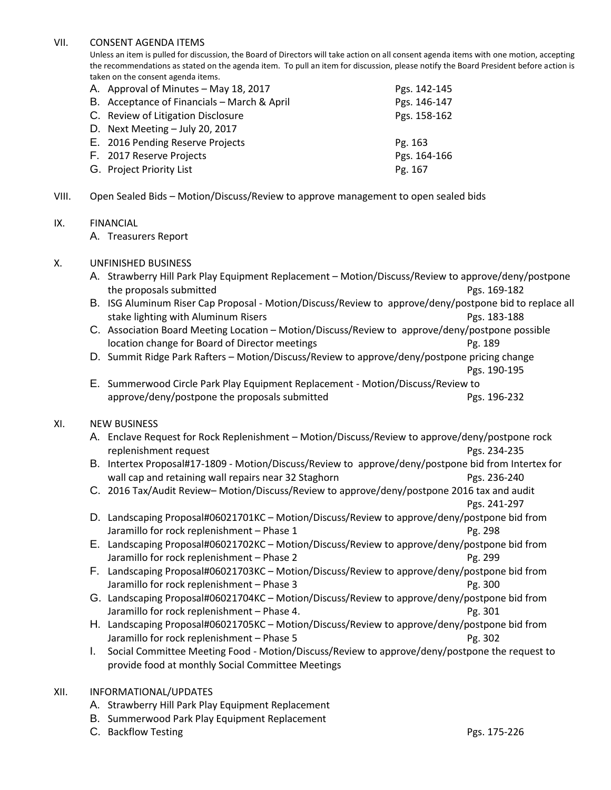# VII. CONSENT AGENDA ITEMS

Unless an item is pulled for discussion, the Board of Directors will take action on all consent agenda items with one motion, accepting the recommendations as stated on the agenda item. To pull an item for discussion, please notify the Board President before action is taken on the consent agenda items.

| A. Approval of Minutes - May 18, 2017       | Pgs. 142-145 |
|---------------------------------------------|--------------|
| B. Acceptance of Financials - March & April | Pgs. 146-147 |
| C. Review of Litigation Disclosure          | Pgs. 158-162 |
| D. Next Meeting $-$ July 20, 2017           |              |
| E. 2016 Pending Reserve Projects            | Pg. 163      |
| F. 2017 Reserve Projects                    | Pgs. 164-166 |
| G. Project Priority List                    | Pg. 167      |
|                                             |              |

VIII. Open Sealed Bids – Motion/Discuss/Review to approve management to open sealed bids

# IX. FINANCIAL

A. Treasurers Report

# X. UNFINISHED BUSINESS

- A. Strawberry Hill Park Play Equipment Replacement Motion/Discuss/Review to approve/deny/postpone the proposals submitted **Pgs. 169-182**
- B. ISG Aluminum Riser Cap Proposal Motion/Discuss/Review to approve/deny/postpone bid to replace all stake lighting with Aluminum Risers **Pgs. 183-188** Pgs. 183-188
- C. Association Board Meeting Location Motion/Discuss/Review to approve/deny/postpone possible location change for Board of Director meetings **Pg. 189** Pg. 189
- D. Summit Ridge Park Rafters Motion/Discuss/Review to approve/deny/postpone pricing change

Pgs. 190-195

E. Summerwood Circle Park Play Equipment Replacement - Motion/Discuss/Review to approve/deny/postpone the proposals submitted example 232 Pgs. 196-232

# XI. NEW BUSINESS

- A. Enclave Request for Rock Replenishment Motion/Discuss/Review to approve/deny/postpone rock replenishment request **Pgs. 234-235**
- B. Intertex Proposal#17-1809 Motion/Discuss/Review to approve/deny/postpone bid from Intertex for wall cap and retaining wall repairs near 32 Staghorn **Pgs. 236-240** Pgs. 236-240
- C. 2016 Tax/Audit Review– Motion/Discuss/Review to approve/deny/postpone 2016 tax and audit
	- Pgs. 241-297
- D. Landscaping Proposal#06021701KC Motion/Discuss/Review to approve/deny/postpone bid from Jaramillo for rock replenishment – Phase 1 Pg. 298
- E. Landscaping Proposal#06021702KC Motion/Discuss/Review to approve/deny/postpone bid from Jaramillo for rock replenishment – Phase 2 Pg. 299
- F. Landscaping Proposal#06021703KC Motion/Discuss/Review to approve/deny/postpone bid from Jaramillo for rock replenishment – Phase 3 Pg. 300
- G. Landscaping Proposal#06021704KC Motion/Discuss/Review to approve/deny/postpone bid from Jaramillo for rock replenishment – Phase 4. Pg. 301
- H. Landscaping Proposal#06021705KC Motion/Discuss/Review to approve/deny/postpone bid from Jaramillo for rock replenishment – Phase 5 Pg. 302
- I. Social Committee Meeting Food Motion/Discuss/Review to approve/deny/postpone the request to provide food at monthly Social Committee Meetings

# XII. INFORMATIONAL/UPDATES

- A. Strawberry Hill Park Play Equipment Replacement
- B. Summerwood Park Play Equipment Replacement
- C. Backflow Testing Pgs. 175-226